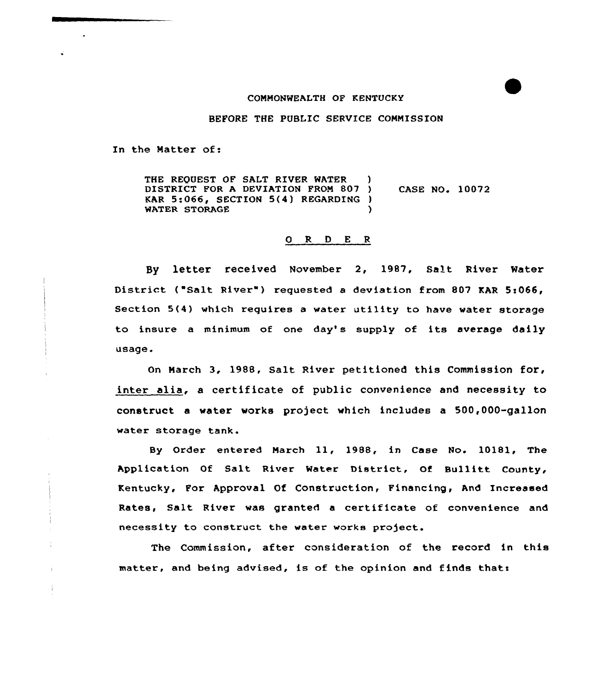## COMMONWEALTH OF KENTUCKY

## BEFORE THE PUBLIC SERVICE CONNISSION

In the Matter of:

THE REQUEST OF SALT RIVER WATER DISTRICT FOR A DEVIATION FROM 807 ) CASE NO. 10072 KAR 5:066, SECTION 5(4) REGARDING )<br>WATER STORAGE WATER STORAGE

## 0 R <sup>D</sup> E <sup>R</sup>

Sy letter received November 2, 1987, Salt River Water District ("Salt River") requested a deviation from 807 KAR 5:066, Section  $5(4)$  which requires a water utility to have water storage to insure a minimum of one day's supply of its average daily usage.

On Narch 3, 1988, Salt River petitioned this Commission for, inter alia, <sup>a</sup> certificate of public convenience and necessity to construct a water works project which includes a 500,000-gallon water storage tank.

Sy Order entered March ll, 1988, in Case No. 10181, The Application Of Salt River Water District, Of Bullitt County, Kentucky, For Approval Of Construction, Financing, And Increased Rates, Salt River was granted a certificate of convenience and necessity to construct the water works project.

The Commission, after consideration of the record in this matter, and being advised, is of the opinion and finds that: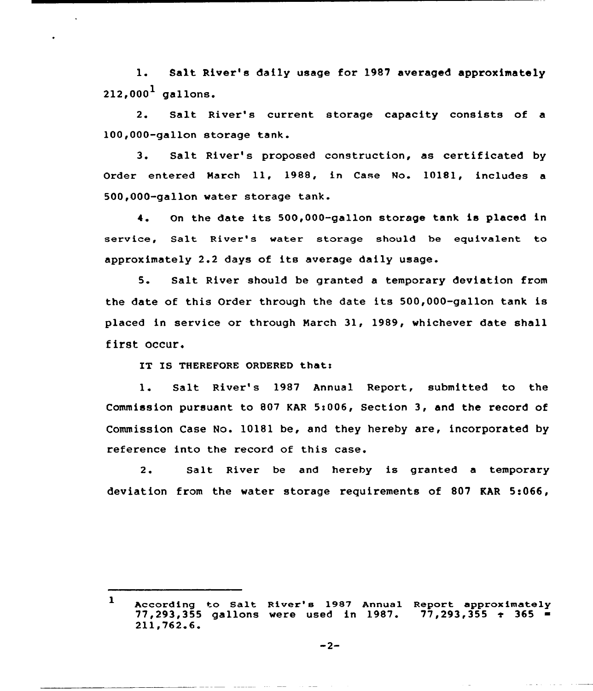1. Salt River's dally usage for 1987 averaged approximately  $212.000<sup>1</sup>$  gallons.

2. Salt River's current storage capacity consists of a 100,000-gallon storage tank.

3. Salt River's proposed construction, as certificated by Order entered March ll, 1988, in Case No. 10181, includes <sup>a</sup> 500,000-gallon water storage tank.

4. On the date its 500,000-gallon storage tank is placed in service, Salt River's water storage should be equivalent to approximately 2.2 days of its average daily usage.

5. Salt River should be granted <sup>a</sup> temporary deviation from the date of this Order through the date its 500,000-gallon tank is placed in service or through March 31, 1989, whichever date shall first occur.

IT IS THEREFORE ORDERED that:

1. Salt River's 1987 Annual Report, submitted to the Commission pursuant to 807 KAR 5:006, Section 3, and the record of Commission Case No. 10181 be, and they hereby are, incorporated by reference into the record of this case.

2. Salt River be and hereby is granted a temporary deviation from the water storage requirements of 807 KAR 5:066,

 $\mathbf{1}$ According to Salt River's 1987 Annual Report approximately<br>77,293,355 gallons were used in 1987. 77,293,355 + 365 = 77,293,355 gallons were used in 1987.<br>211,762.6.